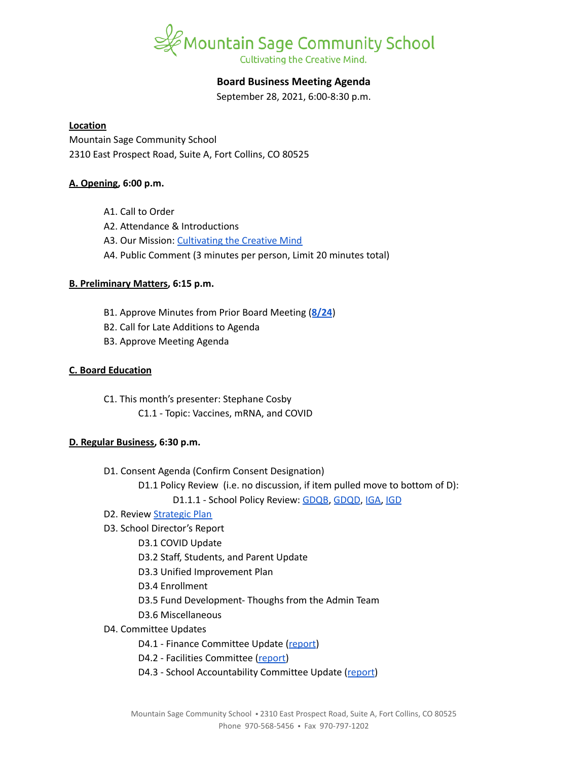

# **Board Business Meeting Agenda**

September 28, 2021, 6:00-8:30 p.m.

### **Location**

Mountain Sage Community School 2310 East Prospect Road, Suite A, Fort Collins, CO 80525

## **A. Opening, 6:00 p.m.**

- A1. Call to Order
- A2. Attendance & Introductions
- A3. Our Mission: [Cultivating](https://www.mountainsage.org/about-us/mission-and-vision/) the Creative Mind
- A4. Public Comment (3 minutes per person, Limit 20 minutes total)

## **B. Preliminary Matters, 6:15 p.m.**

- B1. Approve Minutes from Prior Board Meeting (**[8/24](https://docs.google.com/document/d/165QOt9jpveYzRvTwXHMynM8dgmQa-Et4H0YMfNeeSlM/edit?usp=sharing)**)
- B2. Call for Late Additions to Agenda
- B3. Approve Meeting Agenda

## **C. Board Education**

C1. This month's presenter: Stephane Cosby C1.1 - Topic: Vaccines, mRNA, and COVID

## **D. Regular Business, 6:30 p.m.**

- D1. Consent Agenda (Confirm Consent Designation)
	- D1.1 Policy Review (i.e. no discussion, if item pulled move to bottom of D):
		- D1.1.1 School Policy Review: [GDQB](https://docs.google.com/document/d/1v4tGD07QFE56LKxTItzfu02rLfKRePcJk07Ao1XmLRg), [GDQD](https://drive.google.com/open?id=1Ewwb0RIPZasF4ZmW7YUI-MQyvjgK7_aGBF7_874vNm8), [IGA,](https://drive.google.com/open?id=17V0SGbIQdLADRZ5pwr_sr0Dl9RI-k8U9fvpsVhO2Cso) [IGD](https://drive.google.com/open?id=1dp0fAXOoFv1_XlJI0FYOgRRxLkpDFmdC1HH8hRpezBg)
- D2. Review [Strategic](https://docs.google.com/spreadsheets/d/1RR7z4DQ0Oq8Z29iw-TRpzfxcoDyemB4IFJY4Hpq8Y_k/edit?usp=sharing) Plan
- D3. School Director's Report
	- D3.1 COVID Update
	- D3.2 Staff, Students, and Parent Update
	- D3.3 Unified Improvement Plan
	- D3.4 Enrollment
	- D3.5 Fund Development- Thoughs from the Admin Team
	- D3.6 Miscellaneous
- D4. Committee Updates
	- D4.1 Finance Committee Update ([report](https://docs.google.com/document/d/14Cd46J0j6UxsXxUnjZNzeHrIVRdGPQB_bxN5vyZgIxU))
	- D4.2 Facilities Committee [\(report\)](https://docs.google.com/document/d/1h4B69xl6H0Zhxotkpli11CiLX3zkelVvyEaJgkyGR3Y)
	- D4.3 School Accountability Committee Update [\(report](https://docs.google.com/document/d/1cQHzZk37psup_0VHZqHlMASzOVGk-QnEfdCpo1lHMVY))